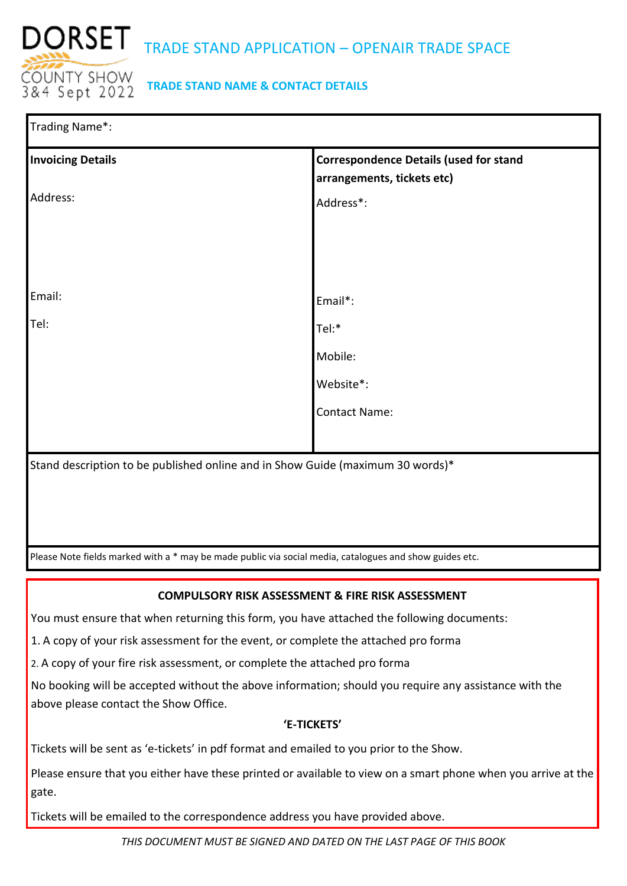

## **TRADE STAND NAME & CONTACT DETAILS**

| Trading Name*:                                                                                          |                                                                             |  |  |  |
|---------------------------------------------------------------------------------------------------------|-----------------------------------------------------------------------------|--|--|--|
| <b>Invoicing Details</b>                                                                                | <b>Correspondence Details (used for stand</b><br>arrangements, tickets etc) |  |  |  |
| Address:                                                                                                | Address*:                                                                   |  |  |  |
|                                                                                                         |                                                                             |  |  |  |
|                                                                                                         |                                                                             |  |  |  |
| Email:                                                                                                  | Email*:                                                                     |  |  |  |
| Tel:                                                                                                    | Tel:*                                                                       |  |  |  |
|                                                                                                         | Mobile:                                                                     |  |  |  |
|                                                                                                         | Website*:                                                                   |  |  |  |
|                                                                                                         | <b>Contact Name:</b>                                                        |  |  |  |
|                                                                                                         |                                                                             |  |  |  |
| Stand description to be published online and in Show Guide (maximum 30 words)*                          |                                                                             |  |  |  |
|                                                                                                         |                                                                             |  |  |  |
|                                                                                                         |                                                                             |  |  |  |
| Please Note fields marked with a * may be made public via social media, catalogues and show guides etc. |                                                                             |  |  |  |

## **COMPULSORY RISK ASSESSMENT & FIRE RISK ASSESSMENT**

You must ensure that when returning this form, you have attached the following documents:

1. A copy of your risk assessment for the event, or complete the attached pro forma

2. A copy of your fire risk assessment, or complete the attached pro forma

No booking will be accepted without the above information; should you require any assistance with the above please contact the Show Office.

### **'E-TICKETS'**

Tickets will be sent as 'e-tickets' in pdf format and emailed to you prior to the Show.

Please ensure that you either have these printed or available to view on a smart phone when you arrive at the gate.

Tickets will be emailed to the correspondence address you have provided above.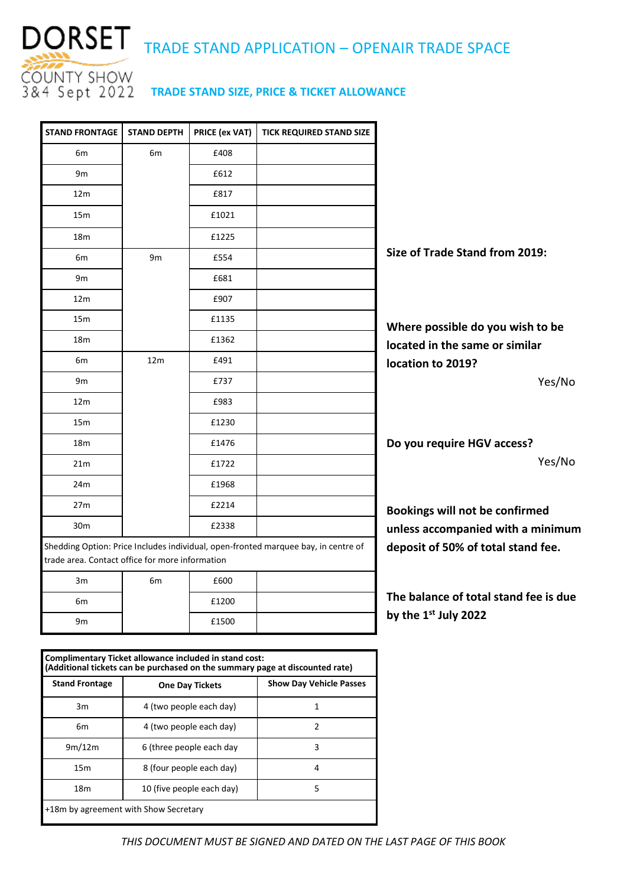

# DORSET TRADE STAND APPLICATION – OPENAIR TRADE SPACE

|                                       | <b>TICK REQUIRED STAND SIZE</b>                                                    | PRICE (ex VAT) | <b>STAND DEPTH</b> | <b>STAND FRONTAGE</b>                           |
|---------------------------------------|------------------------------------------------------------------------------------|----------------|--------------------|-------------------------------------------------|
|                                       |                                                                                    | £408           | 6m                 | 6m                                              |
|                                       |                                                                                    | £612           |                    | 9m                                              |
|                                       |                                                                                    | £817           |                    | 12 <sub>m</sub>                                 |
|                                       |                                                                                    | £1021          |                    | 15 <sub>m</sub>                                 |
|                                       |                                                                                    | £1225          |                    | 18 <sub>m</sub>                                 |
| Size of Trade Stand from 2019:        |                                                                                    | £554           | 9 <sub>m</sub>     | 6m                                              |
|                                       |                                                                                    | £681           |                    | 9m                                              |
|                                       |                                                                                    | £907           |                    | 12m                                             |
| Where possible do you wish to be      |                                                                                    | £1135          |                    | 15m                                             |
| located in the same or similar        |                                                                                    | £1362          |                    | 18 <sub>m</sub>                                 |
| location to 2019?                     |                                                                                    | £491           | 12m                | 6m                                              |
| Yes/No                                |                                                                                    | £737           |                    | 9m                                              |
|                                       |                                                                                    | £983           |                    | 12m                                             |
|                                       |                                                                                    | £1230          |                    | 15m                                             |
| Do you require HGV access?            |                                                                                    | £1476          |                    | 18 <sub>m</sub>                                 |
| Yes/No                                |                                                                                    | £1722          |                    | 21 <sub>m</sub>                                 |
|                                       |                                                                                    | £1968          |                    | 24m                                             |
| Bookings will not be confirmed        |                                                                                    | £2214          |                    | 27m                                             |
| unless accompanied with a minimum     |                                                                                    | £2338          |                    | 30 <sub>m</sub>                                 |
| deposit of 50% of total stand fee.    | Shedding Option: Price Includes individual, open-fronted marquee bay, in centre of |                |                    | trade area. Contact office for more information |
|                                       |                                                                                    | £600           | 6m                 | 3m                                              |
| The balance of total stand fee is due |                                                                                    | £1200          |                    | 6m                                              |
| by the 1 <sup>st</sup> July 2022      |                                                                                    | £1500          |                    | 9m                                              |

| Complimentary Ticket allowance included in stand cost:<br>(Additional tickets can be purchased on the summary page at discounted rate) |                           |                                |  |  |  |
|----------------------------------------------------------------------------------------------------------------------------------------|---------------------------|--------------------------------|--|--|--|
| <b>Stand Frontage</b>                                                                                                                  | <b>One Day Tickets</b>    | <b>Show Day Vehicle Passes</b> |  |  |  |
| 3m                                                                                                                                     | 4 (two people each day)   | 1                              |  |  |  |
| 6m                                                                                                                                     | 4 (two people each day)   | $\mathfrak{p}$                 |  |  |  |
| 9m/12m                                                                                                                                 | 6 (three people each day  | 3                              |  |  |  |
| 15 <sub>m</sub>                                                                                                                        | 8 (four people each day)  | 4                              |  |  |  |
| 18 <sub>m</sub>                                                                                                                        | 10 (five people each day) | 5                              |  |  |  |
| +18m by agreement with Show Secretary                                                                                                  |                           |                                |  |  |  |

*THIS DOCUMENT MUST BE SIGNED AND DATED ON THE LAST PAGE OF THIS BOOK*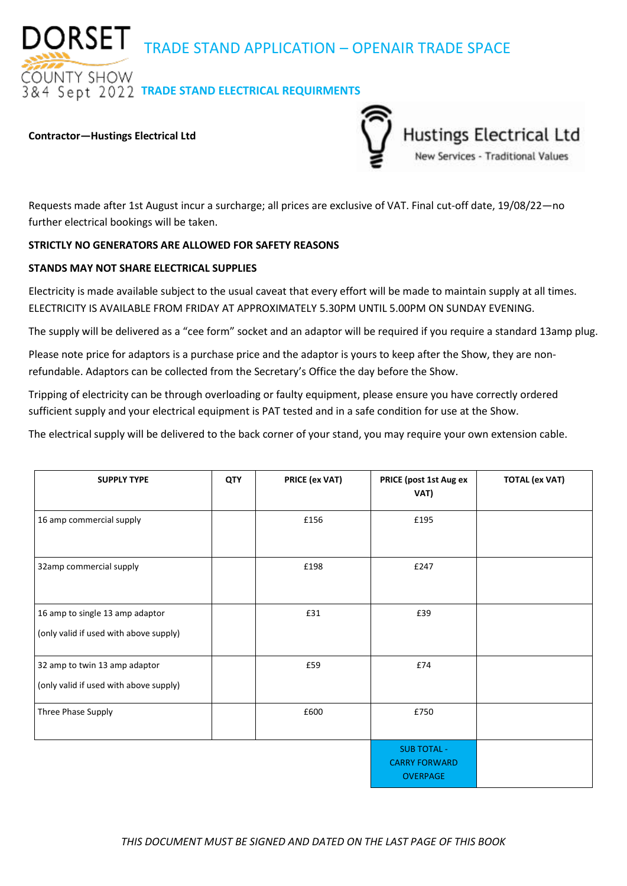DORSET TRADE STAND APPLICATION – OPENAIR TRADE SPACE

**OUNTY SHOW** *RA Sept 2022 TRADE STAND ELECTRICAL REQUIRMENTS* 

#### **Contractor—Hustings Electrical Ltd**



Requests made after 1st August incur a surcharge; all prices are exclusive of VAT. Final cut-off date, 19/08/22—no further electrical bookings will be taken.

#### **STRICTLY NO GENERATORS ARE ALLOWED FOR SAFETY REASONS**

#### **STANDS MAY NOT SHARE ELECTRICAL SUPPLIES**

Electricity is made available subject to the usual caveat that every effort will be made to maintain supply at all times. ELECTRICITY IS AVAILABLE FROM FRIDAY AT APPROXIMATELY 5.30PM UNTIL 5.00PM ON SUNDAY EVENING.

The supply will be delivered as a "cee form" socket and an adaptor will be required if you require a standard 13amp plug.

Please note price for adaptors is a purchase price and the adaptor is yours to keep after the Show, they are nonrefundable. Adaptors can be collected from the Secretary's Office the day before the Show.

Tripping of electricity can be through overloading or faulty equipment, please ensure you have correctly ordered sufficient supply and your electrical equipment is PAT tested and in a safe condition for use at the Show.

The electrical supply will be delivered to the back corner of your stand, you may require your own extension cable.

| <b>SUPPLY TYPE</b>                                                        | QTY | PRICE (ex VAT) | PRICE (post 1st Aug ex<br>VAT)                                | <b>TOTAL (ex VAT)</b> |
|---------------------------------------------------------------------------|-----|----------------|---------------------------------------------------------------|-----------------------|
| 16 amp commercial supply                                                  |     | £156           | £195                                                          |                       |
| 32amp commercial supply                                                   |     | £198           | £247                                                          |                       |
| 16 amp to single 13 amp adaptor<br>(only valid if used with above supply) |     | £31            | £39                                                           |                       |
| 32 amp to twin 13 amp adaptor<br>(only valid if used with above supply)   |     | £59            | £74                                                           |                       |
| Three Phase Supply                                                        |     | £600           | £750                                                          |                       |
|                                                                           |     |                | <b>SUB TOTAL -</b><br><b>CARRY FORWARD</b><br><b>OVERPAGE</b> |                       |